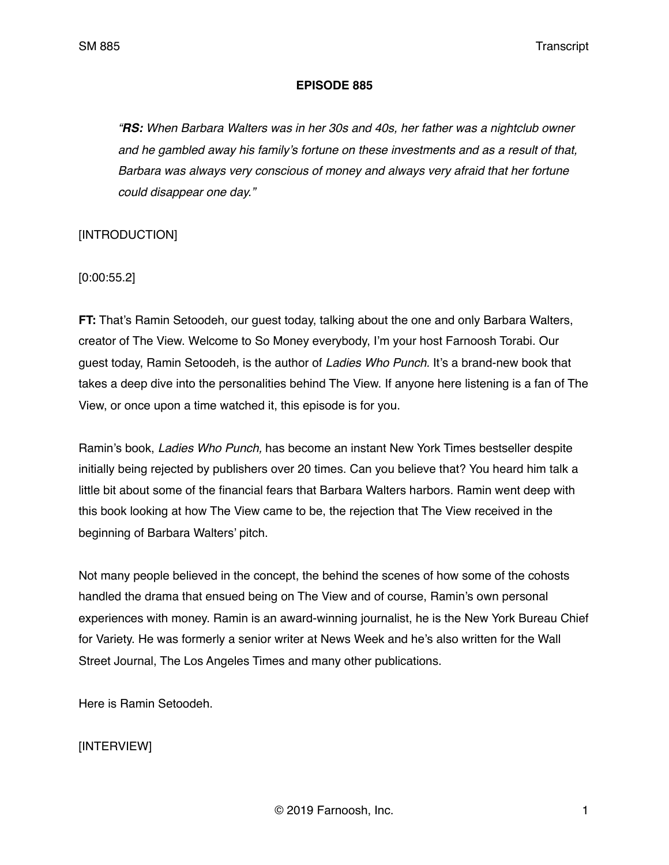### **EPISODE 885**

*"RS: When Barbara Walters was in her 30s and 40s, her father was a nightclub owner and he gambled away his family's fortune on these investments and as a result of that, Barbara was always very conscious of money and always very afraid that her fortune could disappear one day."*

### [INTRODUCTION]

[0:00:55.2]

**FT:** That's Ramin Setoodeh, our guest today, talking about the one and only Barbara Walters, creator of The View. Welcome to So Money everybody, I'm your host Farnoosh Torabi. Our guest today, Ramin Setoodeh, is the author of *Ladies Who Punch.* It's a brand-new book that takes a deep dive into the personalities behind The View. If anyone here listening is a fan of The View, or once upon a time watched it, this episode is for you.

Ramin's book, *Ladies Who Punch,* has become an instant New York Times bestseller despite initially being rejected by publishers over 20 times. Can you believe that? You heard him talk a little bit about some of the financial fears that Barbara Walters harbors. Ramin went deep with this book looking at how The View came to be, the rejection that The View received in the beginning of Barbara Walters' pitch.

Not many people believed in the concept, the behind the scenes of how some of the cohosts handled the drama that ensued being on The View and of course, Ramin's own personal experiences with money. Ramin is an award-winning journalist, he is the New York Bureau Chief for Variety. He was formerly a senior writer at News Week and he's also written for the Wall Street Journal, The Los Angeles Times and many other publications.

Here is Ramin Setoodeh.

# [INTERVIEW]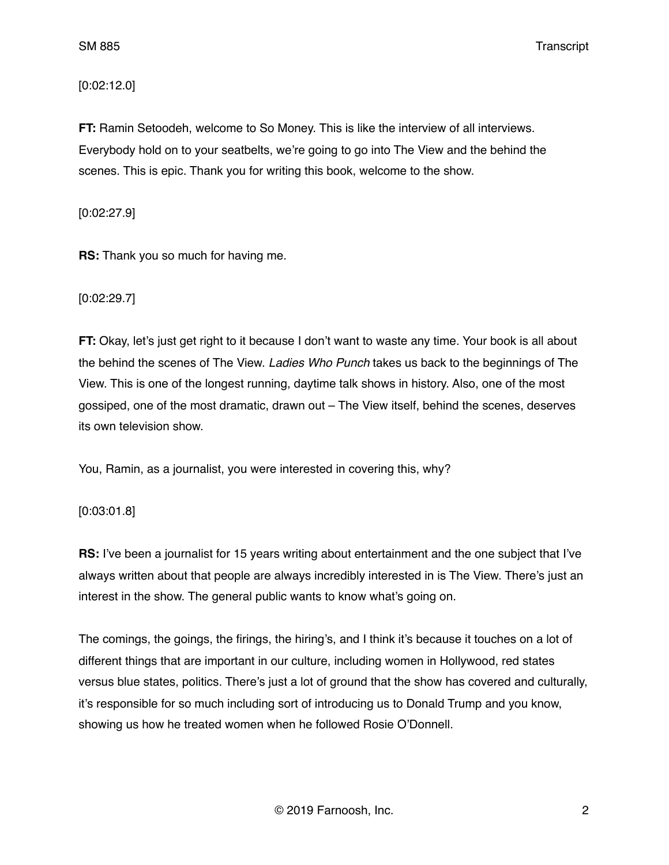### [0:02:12.0]

**FT:** Ramin Setoodeh, welcome to So Money. This is like the interview of all interviews. Everybody hold on to your seatbelts, we're going to go into The View and the behind the scenes. This is epic. Thank you for writing this book, welcome to the show.

[0:02:27.9]

**RS:** Thank you so much for having me.

[0:02:29.7]

**FT:** Okay, let's just get right to it because I don't want to waste any time. Your book is all about the behind the scenes of The View. *Ladies Who Punch* takes us back to the beginnings of The View. This is one of the longest running, daytime talk shows in history. Also, one of the most gossiped, one of the most dramatic, drawn out – The View itself, behind the scenes, deserves its own television show.

You, Ramin, as a journalist, you were interested in covering this, why?

[0:03:01.8]

**RS:** I've been a journalist for 15 years writing about entertainment and the one subject that I've always written about that people are always incredibly interested in is The View. There's just an interest in the show. The general public wants to know what's going on.

The comings, the goings, the firings, the hiring's, and I think it's because it touches on a lot of different things that are important in our culture, including women in Hollywood, red states versus blue states, politics. There's just a lot of ground that the show has covered and culturally, it's responsible for so much including sort of introducing us to Donald Trump and you know, showing us how he treated women when he followed Rosie O'Donnell.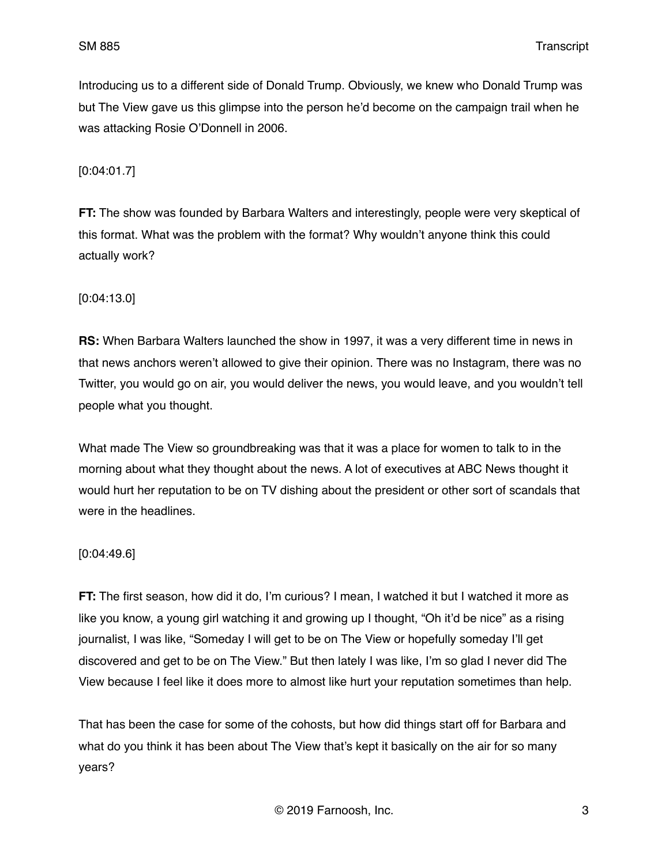Introducing us to a different side of Donald Trump. Obviously, we knew who Donald Trump was but The View gave us this glimpse into the person he'd become on the campaign trail when he was attacking Rosie O'Donnell in 2006.

[0:04:01.7]

**FT:** The show was founded by Barbara Walters and interestingly, people were very skeptical of this format. What was the problem with the format? Why wouldn't anyone think this could actually work?

[0:04:13.0]

**RS:** When Barbara Walters launched the show in 1997, it was a very different time in news in that news anchors weren't allowed to give their opinion. There was no Instagram, there was no Twitter, you would go on air, you would deliver the news, you would leave, and you wouldn't tell people what you thought.

What made The View so groundbreaking was that it was a place for women to talk to in the morning about what they thought about the news. A lot of executives at ABC News thought it would hurt her reputation to be on TV dishing about the president or other sort of scandals that were in the headlines.

### [0:04:49.6]

**FT:** The first season, how did it do, I'm curious? I mean, I watched it but I watched it more as like you know, a young girl watching it and growing up I thought, "Oh it'd be nice" as a rising journalist, I was like, "Someday I will get to be on The View or hopefully someday I'll get discovered and get to be on The View." But then lately I was like, I'm so glad I never did The View because I feel like it does more to almost like hurt your reputation sometimes than help.

That has been the case for some of the cohosts, but how did things start off for Barbara and what do you think it has been about The View that's kept it basically on the air for so many years?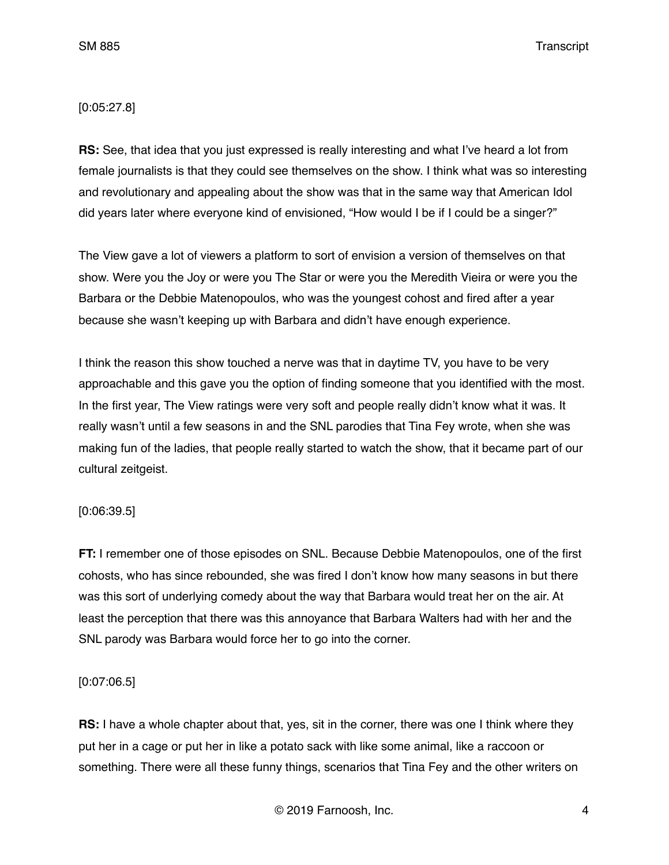### [0:05:27.8]

**RS:** See, that idea that you just expressed is really interesting and what I've heard a lot from female journalists is that they could see themselves on the show. I think what was so interesting and revolutionary and appealing about the show was that in the same way that American Idol did years later where everyone kind of envisioned, "How would I be if I could be a singer?"

The View gave a lot of viewers a platform to sort of envision a version of themselves on that show. Were you the Joy or were you The Star or were you the Meredith Vieira or were you the Barbara or the Debbie Matenopoulos, who was the youngest cohost and fired after a year because she wasn't keeping up with Barbara and didn't have enough experience.

I think the reason this show touched a nerve was that in daytime TV, you have to be very approachable and this gave you the option of finding someone that you identified with the most. In the first year, The View ratings were very soft and people really didn't know what it was. It really wasn't until a few seasons in and the SNL parodies that Tina Fey wrote, when she was making fun of the ladies, that people really started to watch the show, that it became part of our cultural zeitgeist.

### [0:06:39.5]

**FT:** I remember one of those episodes on SNL. Because Debbie Matenopoulos, one of the first cohosts, who has since rebounded, she was fired I don't know how many seasons in but there was this sort of underlying comedy about the way that Barbara would treat her on the air. At least the perception that there was this annoyance that Barbara Walters had with her and the SNL parody was Barbara would force her to go into the corner.

### [0:07:06.5]

**RS:** I have a whole chapter about that, yes, sit in the corner, there was one I think where they put her in a cage or put her in like a potato sack with like some animal, like a raccoon or something. There were all these funny things, scenarios that Tina Fey and the other writers on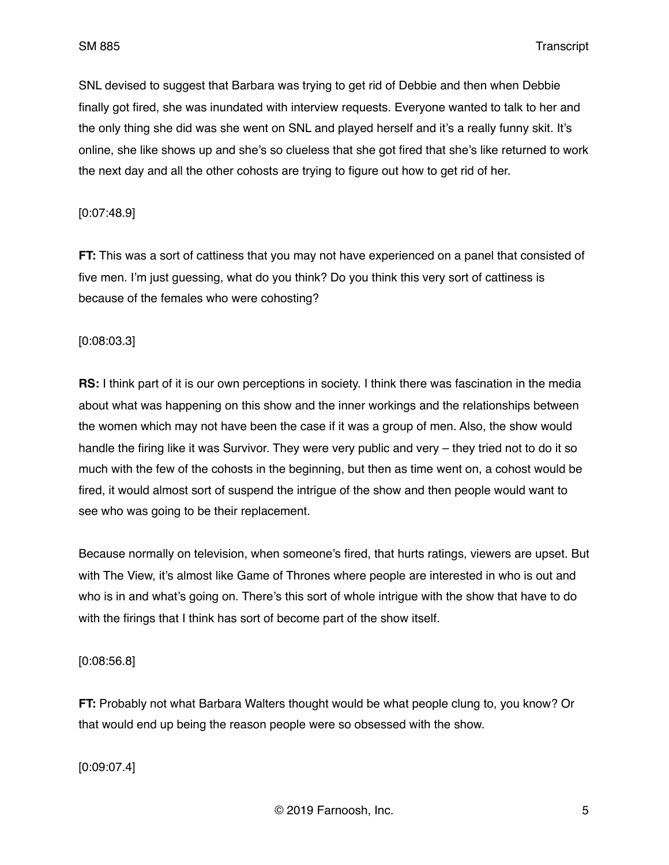SNL devised to suggest that Barbara was trying to get rid of Debbie and then when Debbie finally got fired, she was inundated with interview requests. Everyone wanted to talk to her and the only thing she did was she went on SNL and played herself and it's a really funny skit. It's online, she like shows up and she's so clueless that she got fired that she's like returned to work the next day and all the other cohosts are trying to figure out how to get rid of her.

### [0:07:48.9]

**FT:** This was a sort of cattiness that you may not have experienced on a panel that consisted of five men. I'm just guessing, what do you think? Do you think this very sort of cattiness is because of the females who were cohosting?

### [0:08:03.3]

**RS:** I think part of it is our own perceptions in society. I think there was fascination in the media about what was happening on this show and the inner workings and the relationships between the women which may not have been the case if it was a group of men. Also, the show would handle the firing like it was Survivor. They were very public and very – they tried not to do it so much with the few of the cohosts in the beginning, but then as time went on, a cohost would be fired, it would almost sort of suspend the intrigue of the show and then people would want to see who was going to be their replacement.

Because normally on television, when someone's fired, that hurts ratings, viewers are upset. But with The View, it's almost like Game of Thrones where people are interested in who is out and who is in and what's going on. There's this sort of whole intrigue with the show that have to do with the firings that I think has sort of become part of the show itself.

[0:08:56.8]

**FT:** Probably not what Barbara Walters thought would be what people clung to, you know? Or that would end up being the reason people were so obsessed with the show.

[0:09:07.4]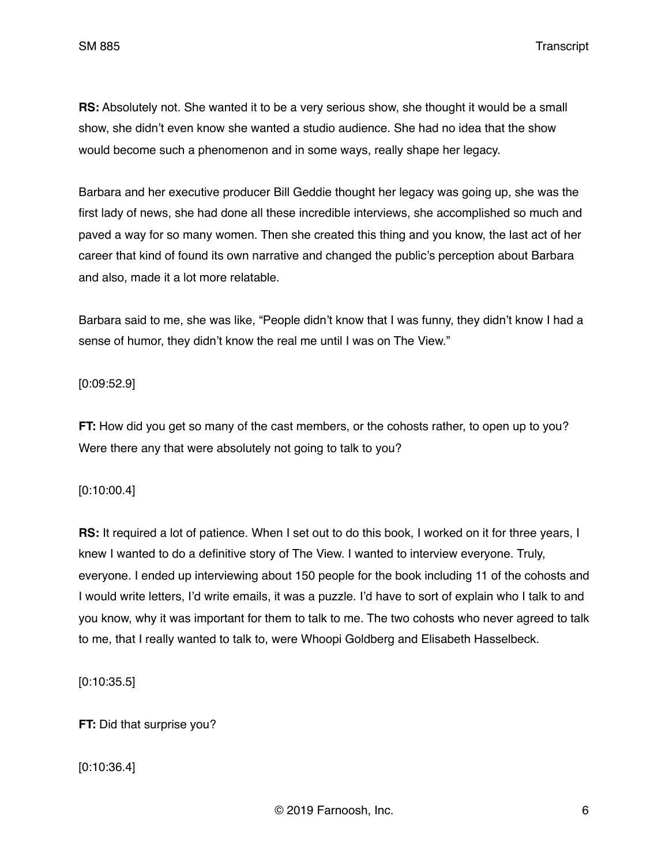**RS:** Absolutely not. She wanted it to be a very serious show, she thought it would be a small show, she didn't even know she wanted a studio audience. She had no idea that the show would become such a phenomenon and in some ways, really shape her legacy.

Barbara and her executive producer Bill Geddie thought her legacy was going up, she was the first lady of news, she had done all these incredible interviews, she accomplished so much and paved a way for so many women. Then she created this thing and you know, the last act of her career that kind of found its own narrative and changed the public's perception about Barbara and also, made it a lot more relatable.

Barbara said to me, she was like, "People didn't know that I was funny, they didn't know I had a sense of humor, they didn't know the real me until I was on The View."

### [0:09:52.9]

**FT:** How did you get so many of the cast members, or the cohosts rather, to open up to you? Were there any that were absolutely not going to talk to you?

### [0:10:00.4]

**RS:** It required a lot of patience. When I set out to do this book, I worked on it for three years, I knew I wanted to do a definitive story of The View. I wanted to interview everyone. Truly, everyone. I ended up interviewing about 150 people for the book including 11 of the cohosts and I would write letters, I'd write emails, it was a puzzle. I'd have to sort of explain who I talk to and you know, why it was important for them to talk to me. The two cohosts who never agreed to talk to me, that I really wanted to talk to, were Whoopi Goldberg and Elisabeth Hasselbeck.

[0:10:35.5]

**FT:** Did that surprise you?

[0:10:36.4]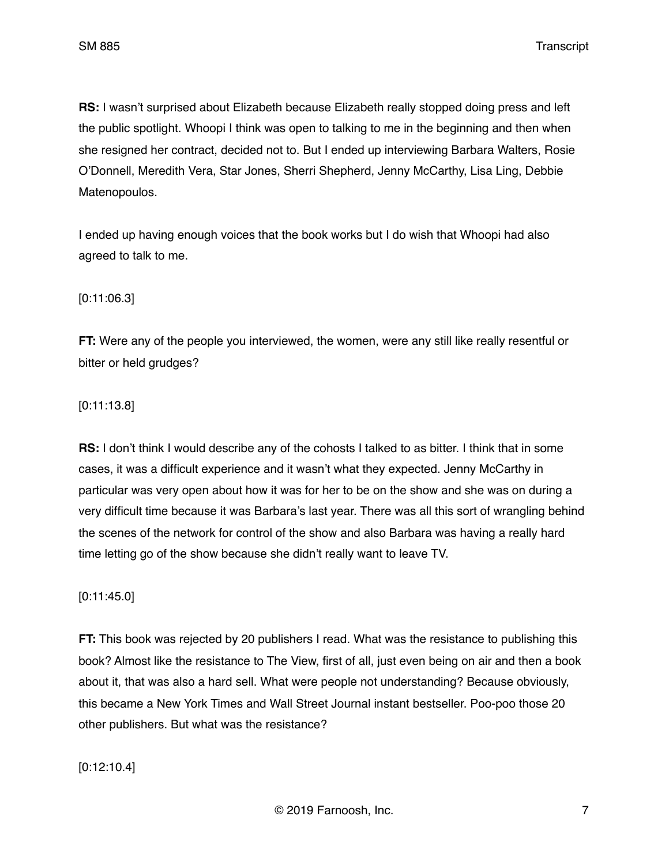**RS:** I wasn't surprised about Elizabeth because Elizabeth really stopped doing press and left the public spotlight. Whoopi I think was open to talking to me in the beginning and then when she resigned her contract, decided not to. But I ended up interviewing Barbara Walters, Rosie O'Donnell, Meredith Vera, Star Jones, Sherri Shepherd, Jenny McCarthy, Lisa Ling, Debbie Matenopoulos.

I ended up having enough voices that the book works but I do wish that Whoopi had also agreed to talk to me.

### [0:11:06.3]

**FT:** Were any of the people you interviewed, the women, were any still like really resentful or bitter or held grudges?

### [0:11:13.8]

**RS:** I don't think I would describe any of the cohosts I talked to as bitter. I think that in some cases, it was a difficult experience and it wasn't what they expected. Jenny McCarthy in particular was very open about how it was for her to be on the show and she was on during a very difficult time because it was Barbara's last year. There was all this sort of wrangling behind the scenes of the network for control of the show and also Barbara was having a really hard time letting go of the show because she didn't really want to leave TV.

### [0:11:45.0]

**FT:** This book was rejected by 20 publishers I read. What was the resistance to publishing this book? Almost like the resistance to The View, first of all, just even being on air and then a book about it, that was also a hard sell. What were people not understanding? Because obviously, this became a New York Times and Wall Street Journal instant bestseller. Poo-poo those 20 other publishers. But what was the resistance?

[0:12:10.4]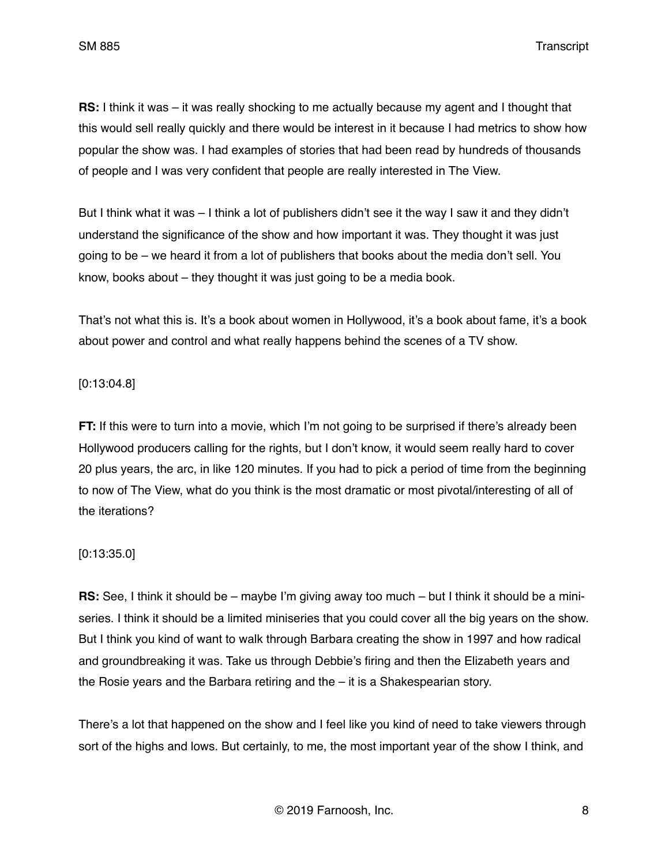**RS:** I think it was – it was really shocking to me actually because my agent and I thought that this would sell really quickly and there would be interest in it because I had metrics to show how popular the show was. I had examples of stories that had been read by hundreds of thousands of people and I was very confident that people are really interested in The View.

But I think what it was – I think a lot of publishers didn't see it the way I saw it and they didn't understand the significance of the show and how important it was. They thought it was just going to be – we heard it from a lot of publishers that books about the media don't sell. You know, books about – they thought it was just going to be a media book.

That's not what this is. It's a book about women in Hollywood, it's a book about fame, it's a book about power and control and what really happens behind the scenes of a TV show.

### [0:13:04.8]

**FT:** If this were to turn into a movie, which I'm not going to be surprised if there's already been Hollywood producers calling for the rights, but I don't know, it would seem really hard to cover 20 plus years, the arc, in like 120 minutes. If you had to pick a period of time from the beginning to now of The View, what do you think is the most dramatic or most pivotal/interesting of all of the iterations?

### [0:13:35.0]

**RS:** See, I think it should be – maybe I'm giving away too much – but I think it should be a miniseries. I think it should be a limited miniseries that you could cover all the big years on the show. But I think you kind of want to walk through Barbara creating the show in 1997 and how radical and groundbreaking it was. Take us through Debbie's firing and then the Elizabeth years and the Rosie years and the Barbara retiring and the – it is a Shakespearian story.

There's a lot that happened on the show and I feel like you kind of need to take viewers through sort of the highs and lows. But certainly, to me, the most important year of the show I think, and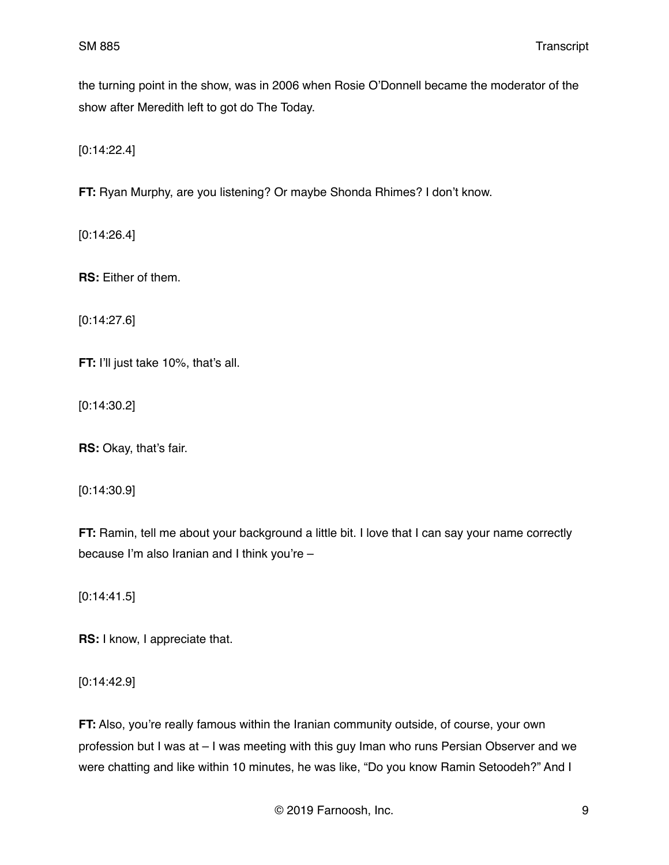the turning point in the show, was in 2006 when Rosie O'Donnell became the moderator of the show after Meredith left to got do The Today.

[0:14:22.4]

**FT:** Ryan Murphy, are you listening? Or maybe Shonda Rhimes? I don't know.

[0:14:26.4]

**RS:** Either of them.

[0:14:27.6]

**FT:** I'll just take 10%, that's all.

[0:14:30.2]

**RS:** Okay, that's fair.

[0:14:30.9]

**FT:** Ramin, tell me about your background a little bit. I love that I can say your name correctly because I'm also Iranian and I think you're –

[0:14:41.5]

**RS:** I know, I appreciate that.

[0:14:42.9]

**FT:** Also, you're really famous within the Iranian community outside, of course, your own profession but I was at – I was meeting with this guy Iman who runs Persian Observer and we were chatting and like within 10 minutes, he was like, "Do you know Ramin Setoodeh?" And I

© 2019 Farnoosh, Inc. 9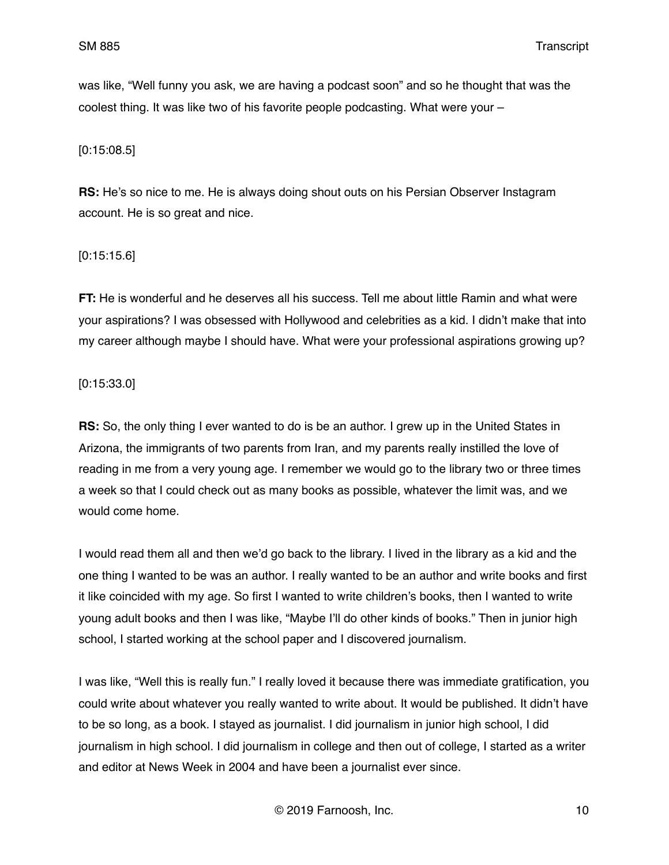was like, "Well funny you ask, we are having a podcast soon" and so he thought that was the coolest thing. It was like two of his favorite people podcasting. What were your –

## [0:15:08.5]

**RS:** He's so nice to me. He is always doing shout outs on his Persian Observer Instagram account. He is so great and nice.

### [0:15:15.6]

**FT:** He is wonderful and he deserves all his success. Tell me about little Ramin and what were your aspirations? I was obsessed with Hollywood and celebrities as a kid. I didn't make that into my career although maybe I should have. What were your professional aspirations growing up?

[0:15:33.0]

**RS:** So, the only thing I ever wanted to do is be an author. I grew up in the United States in Arizona, the immigrants of two parents from Iran, and my parents really instilled the love of reading in me from a very young age. I remember we would go to the library two or three times a week so that I could check out as many books as possible, whatever the limit was, and we would come home.

I would read them all and then we'd go back to the library. I lived in the library as a kid and the one thing I wanted to be was an author. I really wanted to be an author and write books and first it like coincided with my age. So first I wanted to write children's books, then I wanted to write young adult books and then I was like, "Maybe I'll do other kinds of books." Then in junior high school, I started working at the school paper and I discovered journalism.

I was like, "Well this is really fun." I really loved it because there was immediate gratification, you could write about whatever you really wanted to write about. It would be published. It didn't have to be so long, as a book. I stayed as journalist. I did journalism in junior high school, I did journalism in high school. I did journalism in college and then out of college, I started as a writer and editor at News Week in 2004 and have been a journalist ever since.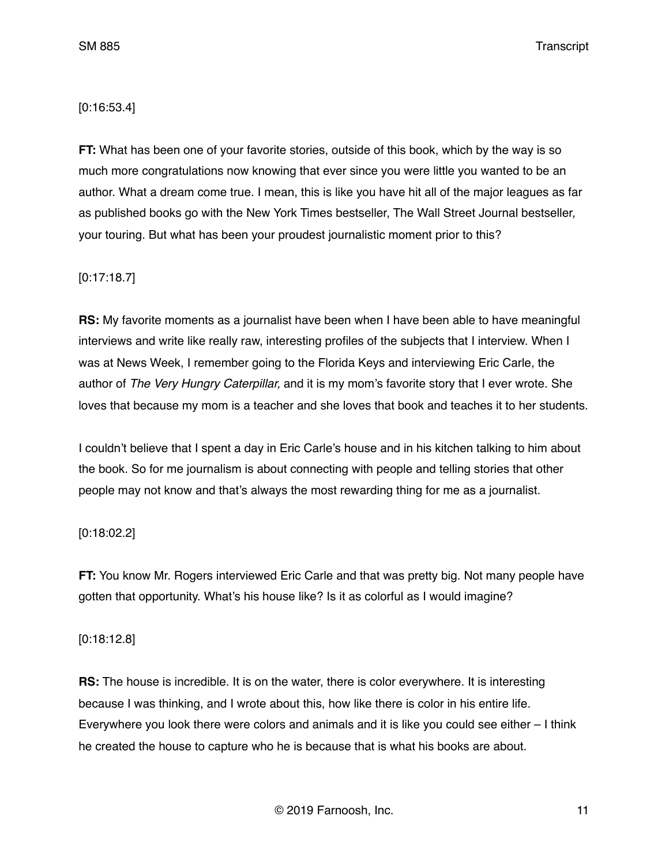### [0:16:53.4]

**FT:** What has been one of your favorite stories, outside of this book, which by the way is so much more congratulations now knowing that ever since you were little you wanted to be an author. What a dream come true. I mean, this is like you have hit all of the major leagues as far as published books go with the New York Times bestseller, The Wall Street Journal bestseller, your touring. But what has been your proudest journalistic moment prior to this?

### [0:17:18.7]

**RS:** My favorite moments as a journalist have been when I have been able to have meaningful interviews and write like really raw, interesting profiles of the subjects that I interview. When I was at News Week, I remember going to the Florida Keys and interviewing Eric Carle, the author of *The Very Hungry Caterpillar,* and it is my mom's favorite story that I ever wrote. She loves that because my mom is a teacher and she loves that book and teaches it to her students.

I couldn't believe that I spent a day in Eric Carle's house and in his kitchen talking to him about the book. So for me journalism is about connecting with people and telling stories that other people may not know and that's always the most rewarding thing for me as a journalist.

# [0:18:02.2]

**FT:** You know Mr. Rogers interviewed Eric Carle and that was pretty big. Not many people have gotten that opportunity. What's his house like? Is it as colorful as I would imagine?

### [0:18:12.8]

**RS:** The house is incredible. It is on the water, there is color everywhere. It is interesting because I was thinking, and I wrote about this, how like there is color in his entire life. Everywhere you look there were colors and animals and it is like you could see either – I think he created the house to capture who he is because that is what his books are about.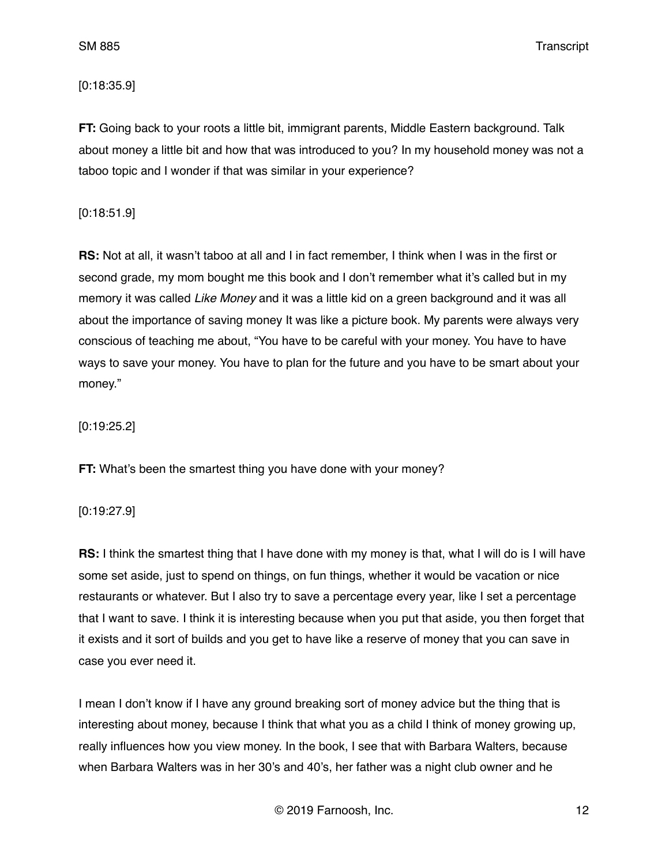### [0:18:35.9]

**FT:** Going back to your roots a little bit, immigrant parents, Middle Eastern background. Talk about money a little bit and how that was introduced to you? In my household money was not a taboo topic and I wonder if that was similar in your experience?

## [0:18:51.9]

**RS:** Not at all, it wasn't taboo at all and I in fact remember, I think when I was in the first or second grade, my mom bought me this book and I don't remember what it's called but in my memory it was called *Like Money* and it was a little kid on a green background and it was all about the importance of saving money It was like a picture book. My parents were always very conscious of teaching me about, "You have to be careful with your money. You have to have ways to save your money. You have to plan for the future and you have to be smart about your money."

## [0:19:25.2]

**FT:** What's been the smartest thing you have done with your money?

# [0:19:27.9]

**RS:** I think the smartest thing that I have done with my money is that, what I will do is I will have some set aside, just to spend on things, on fun things, whether it would be vacation or nice restaurants or whatever. But I also try to save a percentage every year, like I set a percentage that I want to save. I think it is interesting because when you put that aside, you then forget that it exists and it sort of builds and you get to have like a reserve of money that you can save in case you ever need it.

I mean I don't know if I have any ground breaking sort of money advice but the thing that is interesting about money, because I think that what you as a child I think of money growing up, really influences how you view money. In the book, I see that with Barbara Walters, because when Barbara Walters was in her 30's and 40's, her father was a night club owner and he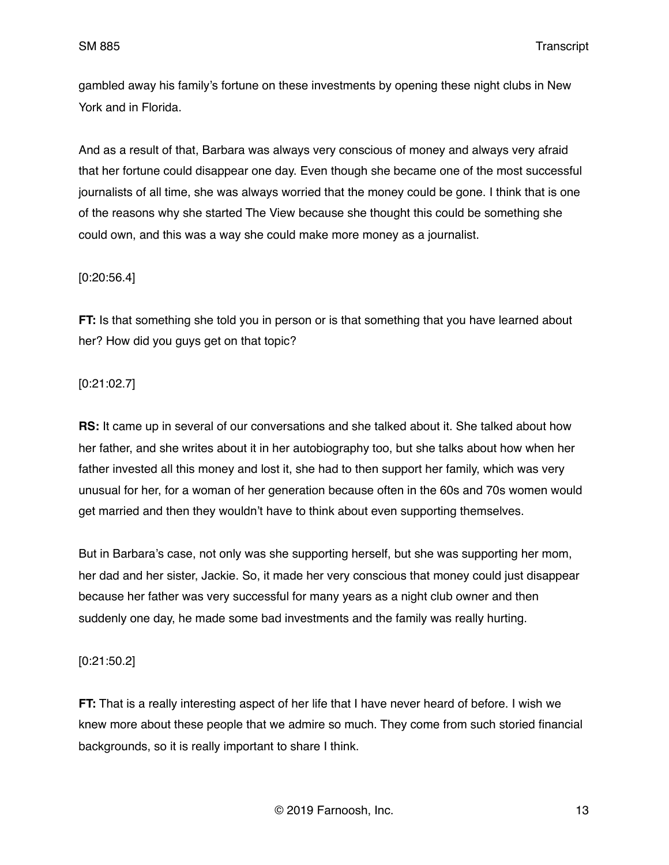gambled away his family's fortune on these investments by opening these night clubs in New York and in Florida.

And as a result of that, Barbara was always very conscious of money and always very afraid that her fortune could disappear one day. Even though she became one of the most successful journalists of all time, she was always worried that the money could be gone. I think that is one of the reasons why she started The View because she thought this could be something she could own, and this was a way she could make more money as a journalist.

### [0:20:56.4]

**FT:** Is that something she told you in person or is that something that you have learned about her? How did you guys get on that topic?

### [0:21:02.7]

**RS:** It came up in several of our conversations and she talked about it. She talked about how her father, and she writes about it in her autobiography too, but she talks about how when her father invested all this money and lost it, she had to then support her family, which was very unusual for her, for a woman of her generation because often in the 60s and 70s women would get married and then they wouldn't have to think about even supporting themselves.

But in Barbara's case, not only was she supporting herself, but she was supporting her mom, her dad and her sister, Jackie. So, it made her very conscious that money could just disappear because her father was very successful for many years as a night club owner and then suddenly one day, he made some bad investments and the family was really hurting.

# [0:21:50.2]

**FT:** That is a really interesting aspect of her life that I have never heard of before. I wish we knew more about these people that we admire so much. They come from such storied financial backgrounds, so it is really important to share I think.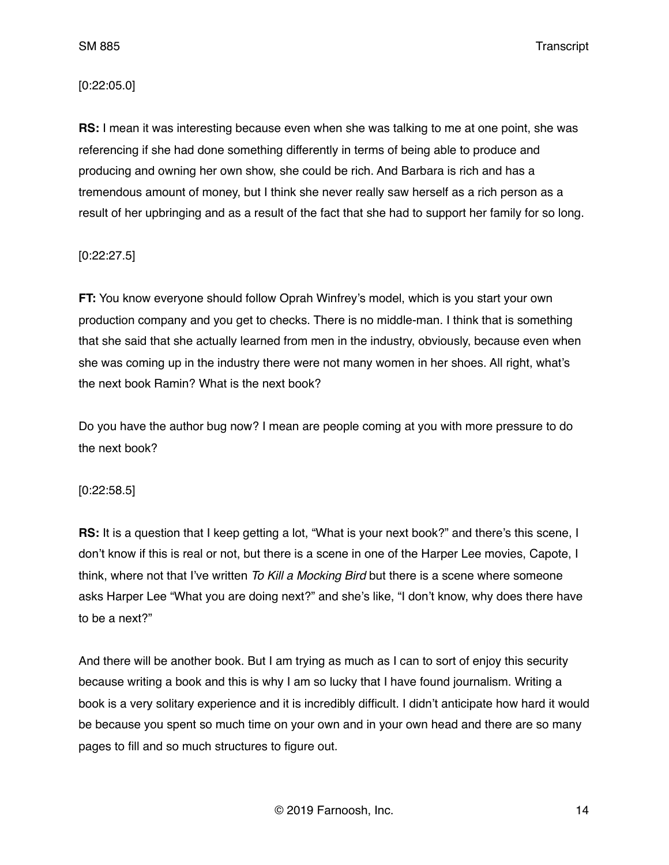### [0:22:05.0]

**RS:** I mean it was interesting because even when she was talking to me at one point, she was referencing if she had done something differently in terms of being able to produce and producing and owning her own show, she could be rich. And Barbara is rich and has a tremendous amount of money, but I think she never really saw herself as a rich person as a result of her upbringing and as a result of the fact that she had to support her family for so long.

# [0:22:27.5]

**FT:** You know everyone should follow Oprah Winfrey's model, which is you start your own production company and you get to checks. There is no middle-man. I think that is something that she said that she actually learned from men in the industry, obviously, because even when she was coming up in the industry there were not many women in her shoes. All right, what's the next book Ramin? What is the next book?

Do you have the author bug now? I mean are people coming at you with more pressure to do the next book?

### [0:22:58.5]

**RS:** It is a question that I keep getting a lot, "What is your next book?" and there's this scene, I don't know if this is real or not, but there is a scene in one of the Harper Lee movies, Capote, I think, where not that I've written *To Kill a Mocking Bird* but there is a scene where someone asks Harper Lee "What you are doing next?" and she's like, "I don't know, why does there have to be a next?"

And there will be another book. But I am trying as much as I can to sort of enjoy this security because writing a book and this is why I am so lucky that I have found journalism. Writing a book is a very solitary experience and it is incredibly difficult. I didn't anticipate how hard it would be because you spent so much time on your own and in your own head and there are so many pages to fill and so much structures to figure out.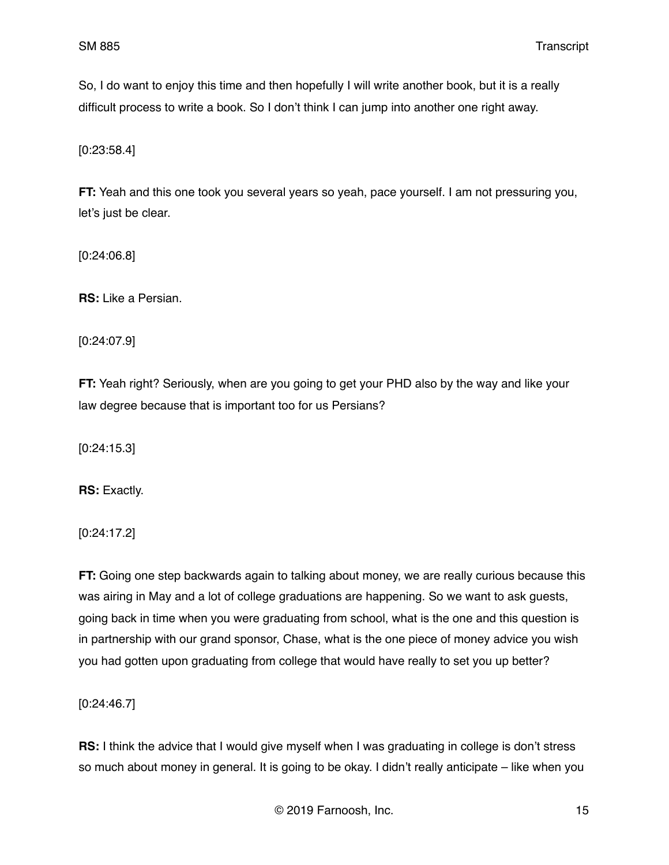So, I do want to enjoy this time and then hopefully I will write another book, but it is a really difficult process to write a book. So I don't think I can jump into another one right away.

[0:23:58.4]

**FT:** Yeah and this one took you several years so yeah, pace yourself. I am not pressuring you, let's just be clear.

[0:24:06.8]

**RS:** Like a Persian.

[0:24:07.9]

**FT:** Yeah right? Seriously, when are you going to get your PHD also by the way and like your law degree because that is important too for us Persians?

[0:24:15.3]

**RS:** Exactly.

[0:24:17.2]

**FT:** Going one step backwards again to talking about money, we are really curious because this was airing in May and a lot of college graduations are happening. So we want to ask guests, going back in time when you were graduating from school, what is the one and this question is in partnership with our grand sponsor, Chase, what is the one piece of money advice you wish you had gotten upon graduating from college that would have really to set you up better?

[0:24:46.7]

**RS:** I think the advice that I would give myself when I was graduating in college is don't stress so much about money in general. It is going to be okay. I didn't really anticipate – like when you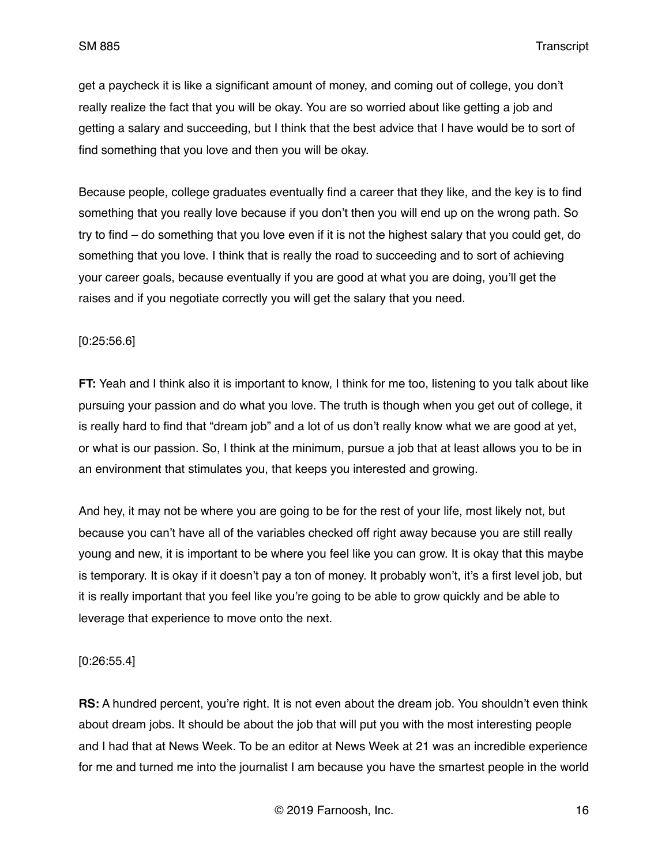get a paycheck it is like a significant amount of money, and coming out of college, you don't really realize the fact that you will be okay. You are so worried about like getting a job and getting a salary and succeeding, but I think that the best advice that I have would be to sort of find something that you love and then you will be okay.

Because people, college graduates eventually find a career that they like, and the key is to find something that you really love because if you don't then you will end up on the wrong path. So try to find – do something that you love even if it is not the highest salary that you could get, do something that you love. I think that is really the road to succeeding and to sort of achieving your career goals, because eventually if you are good at what you are doing, you'll get the raises and if you negotiate correctly you will get the salary that you need.

### [0:25:56.6]

**FT:** Yeah and I think also it is important to know, I think for me too, listening to you talk about like pursuing your passion and do what you love. The truth is though when you get out of college, it is really hard to find that "dream job" and a lot of us don't really know what we are good at yet, or what is our passion. So, I think at the minimum, pursue a job that at least allows you to be in an environment that stimulates you, that keeps you interested and growing.

And hey, it may not be where you are going to be for the rest of your life, most likely not, but because you can't have all of the variables checked off right away because you are still really young and new, it is important to be where you feel like you can grow. It is okay that this maybe is temporary. It is okay if it doesn't pay a ton of money. It probably won't, it's a first level job, but it is really important that you feel like you're going to be able to grow quickly and be able to leverage that experience to move onto the next.

[0:26:55.4]

**RS:** A hundred percent, you're right. It is not even about the dream job. You shouldn't even think about dream jobs. It should be about the job that will put you with the most interesting people and I had that at News Week. To be an editor at News Week at 21 was an incredible experience for me and turned me into the journalist I am because you have the smartest people in the world